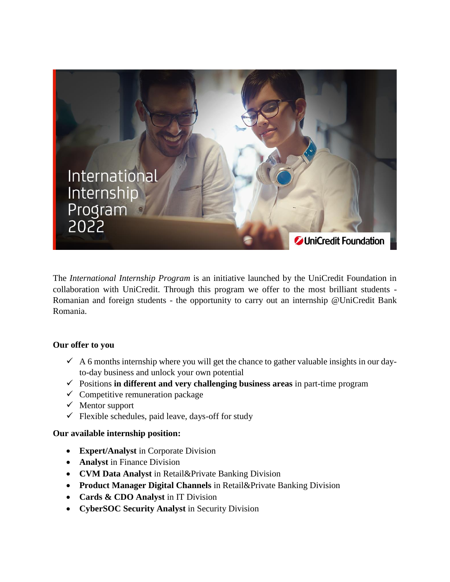

The *International Internship Program* is an initiative launched by the UniCredit Foundation in collaboration with UniCredit. Through this program we offer to the most brilliant students - Romanian and foreign students - the opportunity to carry out an internship @UniCredit Bank Romania.

## **Our offer to you**

- $\checkmark$  A 6 months internship where you will get the chance to gather valuable insights in our dayto-day business and unlock your own potential
- Positions **in different and very challenging business areas** in part-time program
- $\checkmark$  Competitive remuneration package
- $\checkmark$  Mentor support
- $\checkmark$  Flexible schedules, paid leave, days-off for study

## **Our available internship position:**

- **Expert/Analyst** in Corporate Division
- **Analyst** in Finance Division
- **CVM Data Analyst** in Retail&Private Banking Division
- **Product Manager Digital Channels** in Retail&Private Banking Division
- **Cards & CDO Analyst in IT Division**
- **CyberSOC Security Analyst** in Security Division